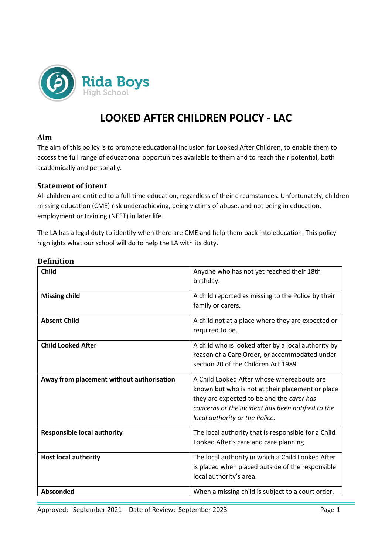

# **LOOKED AFTER CHILDREN POLICY - LAC**

#### **Aim**

The aim of this policy is to promote educational inclusion for Looked After Children, to enable them to access the full range of educational opportunities available to them and to reach their potential, both academically and personally.

#### **Statement of intent**

All children are entitled to a full-time education, regardless of their circumstances. Unfortunately, children missing education (CME) risk underachieving, being victims of abuse, and not being in education, employment or training (NEET) in later life.

The LA has a legal duty to identify when there are CME and help them back into education. This policy highlights what our school will do to help the LA with its duty.

| <b>Child</b>                              | Anyone who has not yet reached their 18th<br>birthday.                                                                                                                                                                             |
|-------------------------------------------|------------------------------------------------------------------------------------------------------------------------------------------------------------------------------------------------------------------------------------|
| <b>Missing child</b>                      | A child reported as missing to the Police by their<br>family or carers.                                                                                                                                                            |
| <b>Absent Child</b>                       | A child not at a place where they are expected or<br>required to be.                                                                                                                                                               |
| <b>Child Looked After</b>                 | A child who is looked after by a local authority by<br>reason of a Care Order, or accommodated under<br>section 20 of the Children Act 1989                                                                                        |
| Away from placement without authorisation | A Child Looked After whose whereabouts are<br>known but who is not at their placement or place<br>they are expected to be and the carer has<br>concerns or the incident has been notified to the<br>local authority or the Police. |
| <b>Responsible local authority</b>        | The local authority that is responsible for a Child<br>Looked After's care and care planning.                                                                                                                                      |
| <b>Host local authority</b>               | The local authority in which a Child Looked After<br>is placed when placed outside of the responsible<br>local authority's area.                                                                                                   |
| <b>Absconded</b>                          | When a missing child is subject to a court order,                                                                                                                                                                                  |

#### **Definition**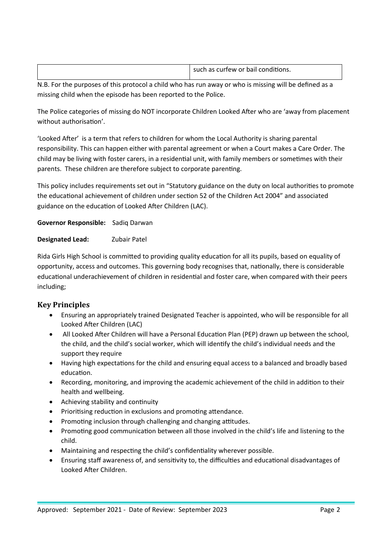|  | <br>such<br>n as curtew or bail<br>conditions.<br>$\sim$ $\sim$ $\sim$<br>. dS I<br>. .<br>. |
|--|----------------------------------------------------------------------------------------------|
|--|----------------------------------------------------------------------------------------------|

N.B. For the purposes of this protocol a child who has run away or who is missing will be defined as a missing child when the episode has been reported to the Police.

The Police categories of missing do NOT incorporate Children Looked After who are 'away from placement without authorisation'.

'Looked After' is a term that refers to children for whom the Local Authority is sharing parental responsibility. This can happen either with parental agreement or when a Court makes a Care Order. The child may be living with foster carers, in a residential unit, with family members or sometimes with their parents. These children are therefore subject to corporate parenting.

This policy includes requirements set out in "Statutory guidance on the duty on local authorities to promote the educational achievement of children under section 52 of the Children Act 2004" and associated guidance on the education of Looked After Children (LAC).

**Governor Responsible:** Sadiq Darwan

**Designated Lead:** Zubair Patel

Rida Girls High School is committed to providing quality education for all its pupils, based on equality of opportunity, access and outcomes. This governing body recognises that, nationally, there is considerable educational underachievement of children in residential and foster care, when compared with their peers including;

# **Key Principles**

- Ensuring an appropriately trained Designated Teacher is appointed, who will be responsible for all Looked After Children (LAC)
- All Looked After Children will have a Personal Education Plan (PEP) drawn up between the school, the child, and the child's social worker, which will identify the child's individual needs and the support they require
- Having high expectations for the child and ensuring equal access to a balanced and broadly based education.
- Recording, monitoring, and improving the academic achievement of the child in addition to their health and wellbeing.
- Achieving stability and continuity
- Prioritising reduction in exclusions and promoting attendance.
- Promoting inclusion through challenging and changing attitudes.
- Promoting good communication between all those involved in the child's life and listening to the child.
- Maintaining and respecting the child's confidentiality wherever possible.
- Ensuring staff awareness of, and sensitivity to, the difficulties and educational disadvantages of Looked After Children.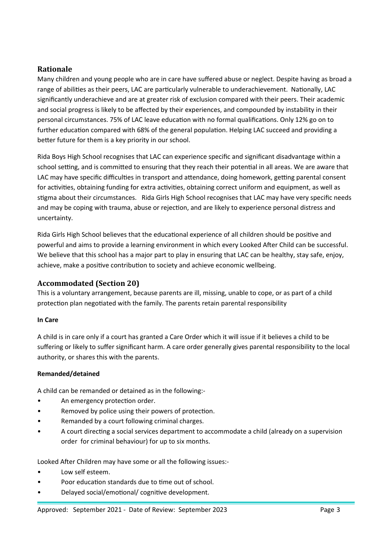# **Rationale**

Many children and young people who are in care have suffered abuse or neglect. Despite having as broad a range of abilities as their peers, LAC are particularly vulnerable to underachievement. Nationally, LAC significantly underachieve and are at greater risk of exclusion compared with their peers. Their academic and social progress is likely to be affected by their experiences, and compounded by instability in their personal circumstances. 75% of LAC leave education with no formal qualifications. Only 12% go on to further education compared with 68% of the general population. Helping LAC succeed and providing a better future for them is a key priority in our school.

Rida Boys High School recognises that LAC can experience specific and significant disadvantage within a school setting, and is committed to ensuring that they reach their potential in all areas. We are aware that LAC may have specific difficulties in transport and attendance, doing homework, getting parental consent for activities, obtaining funding for extra activities, obtaining correct uniform and equipment, as well as stigma about their circumstances. Rida Girls High School recognises that LAC may have very specific needs and may be coping with trauma, abuse or rejection, and are likely to experience personal distress and uncertainty.

Rida Girls High School believes that the educational experience of all children should be positive and powerful and aims to provide a learning environment in which every Looked After Child can be successful. We believe that this school has a major part to play in ensuring that LAC can be healthy, stay safe, enjoy, achieve, make a positive contribution to society and achieve economic wellbeing.

# **Accommodated (Section 20)**

This is a voluntary arrangement, because parents are ill, missing, unable to cope, or as part of a child protection plan negotiated with the family. The parents retain parental responsibility

#### **In Care**

A child is in care only if a court has granted a Care Order which it will issue if it believes a child to be suffering or likely to suffer significant harm. A care order generally gives parental responsibility to the local authority, or shares this with the parents.

#### **Remanded/detained**

A child can be remanded or detained as in the following:-

- An emergency protection order.
- Removed by police using their powers of protection.
- Remanded by a court following criminal charges.
- A court directing a social services department to accommodate a child (already on a supervision order for criminal behaviour) for up to six months.

Looked After Children may have some or all the following issues:-

- Low self esteem.
- Poor education standards due to time out of school.
- Delayed social/emotional/ cognitive development.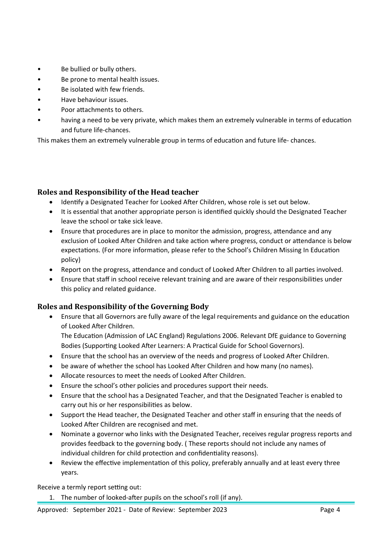- Be bullied or bully others.
- Be prone to mental health issues.
- Be isolated with few friends.
- Have behaviour issues.
- Poor attachments to others.
- having a need to be very private, which makes them an extremely vulnerable in terms of education and future life-chances.

This makes them an extremely vulnerable group in terms of education and future life- chances.

# **Roles and Responsibility of the Head teacher**

- Identify a Designated Teacher for Looked After Children, whose role is set out below.
- It is essential that another appropriate person is identified quickly should the Designated Teacher leave the school or take sick leave.
- Ensure that procedures are in place to monitor the admission, progress, attendance and any exclusion of Looked After Children and take action where progress, conduct or attendance is below expectations. (For more information, please refer to the School's Children Missing In Education policy)
- Report on the progress, attendance and conduct of Looked After Children to all parties involved.
- Ensure that staff in school receive relevant training and are aware of their responsibilities under this policy and related guidance.

# **Roles and Responsibility of the Governing Body**

 Ensure that all Governors are fully aware of the legal requirements and guidance on the education of Looked After Children.

The Education (Admission of LAC England) Regulations 2006. Relevant DfE guidance to Governing Bodies (Supporting Looked After Learners: A Practical Guide for School Governors).

- Ensure that the school has an overview of the needs and progress of Looked After Children.
- be aware of whether the school has Looked After Children and how many (no names).
- Allocate resources to meet the needs of Looked After Children.
- Ensure the school's other policies and procedures support their needs.
- Ensure that the school has a Designated Teacher, and that the Designated Teacher is enabled to carry out his or her responsibilities as below.
- Support the Head teacher, the Designated Teacher and other staff in ensuring that the needs of Looked After Children are recognised and met.
- Nominate a governor who links with the Designated Teacher, receives regular progress reports and provides feedback to the governing body. ( These reports should not include any names of individual children for child protection and confidentiality reasons).
- Review the effective implementation of this policy, preferably annually and at least every three years.

Receive a termly report setting out:

1. The number of looked-after pupils on the school's roll (if any).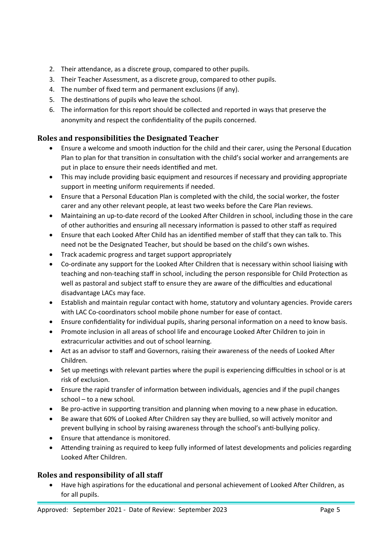- 2. Their attendance, as a discrete group, compared to other pupils.
- 3. Their Teacher Assessment, as a discrete group, compared to other pupils.
- 4. The number of fixed term and permanent exclusions (if any).
- 5. The destinations of pupils who leave the school.
- 6. The information for this report should be collected and reported in ways that preserve the anonymity and respect the confidentiality of the pupils concerned.

# **Roles and responsibilities the Designated Teacher**

- Ensure a welcome and smooth induction for the child and their carer, using the Personal Education Plan to plan for that transition in consultation with the child's social worker and arrangements are put in place to ensure their needs identified and met.
- This may include providing basic equipment and resources if necessary and providing appropriate support in meeting uniform requirements if needed.
- Ensure that a Personal Education Plan is completed with the child, the social worker, the foster carer and any other relevant people, at least two weeks before the Care Plan reviews.
- Maintaining an up-to-date record of the Looked After Children in school, including those in the care of other authorities and ensuring all necessary information is passed to other staff as required
- Ensure that each Looked After Child has an identified member of staff that they can talk to. This need not be the Designated Teacher, but should be based on the child's own wishes.
- Track academic progress and target support appropriately
- Co-ordinate any support for the Looked After Children that is necessary within school liaising with teaching and non-teaching staff in school, including the person responsible for Child Protection as well as pastoral and subject staff to ensure they are aware of the difficulties and educational disadvantage LACs may face.
- Establish and maintain regular contact with home, statutory and voluntary agencies. Provide carers with LAC Co-coordinators school mobile phone number for ease of contact.
- Ensure confidentiality for individual pupils, sharing personal information on a need to know basis.
- Promote inclusion in all areas of school life and encourage Looked After Children to join in extracurricular activities and out of school learning.
- Act as an advisor to staff and Governors, raising their awareness of the needs of Looked After Children.
- Set up meetings with relevant parties where the pupil is experiencing difficulties in school or is at risk of exclusion.
- Ensure the rapid transfer of information between individuals, agencies and if the pupil changes school – to a new school.
- Be pro-active in supporting transition and planning when moving to a new phase in education.
- Be aware that 60% of Looked After Children say they are bullied, so will actively monitor and prevent bullying in school by raising awareness through the school's anti-bullying policy.
- Ensure that attendance is monitored.
- Attending training as required to keep fully informed of latest developments and policies regarding Looked After Children.

#### **Roles and responsibility of all staff**

 Have high aspirations for the educational and personal achievement of Looked After Children, as for all pupils.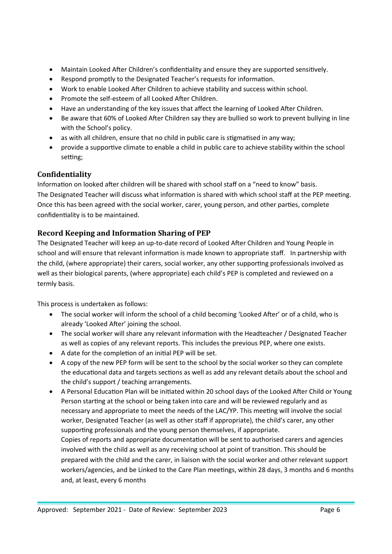- Maintain Looked After Children's confidentiality and ensure they are supported sensitively.
- Respond promptly to the Designated Teacher's requests for information.
- Work to enable Looked After Children to achieve stability and success within school.
- Promote the self-esteem of all Looked After Children.
- Have an understanding of the key issues that affect the learning of Looked After Children.
- Be aware that 60% of Looked After Children say they are bullied so work to prevent bullying in line with the School's policy.
- as with all children, ensure that no child in public care is stigmatised in any way;
- provide a supportive climate to enable a child in public care to achieve stability within the school setting;

# **Confidentiality**

Information on looked after children will be shared with school staff on a "need to know" basis. The Designated Teacher will discuss what information is shared with which school staff at the PEP meeting. Once this has been agreed with the social worker, carer, young person, and other parties, complete confidentiality is to be maintained.

# **Record Keeping and Information Sharing of PEP**

The Designated Teacher will keep an up-to-date record of Looked After Children and Young People in school and will ensure that relevant information is made known to appropriate staff. In partnership with the child, (where appropriate) their carers, social worker, any other supporting professionals involved as well as their biological parents, (where appropriate) each child's PEP is completed and reviewed on a termly basis.

This process is undertaken as follows:

- The social worker will inform the school of a child becoming 'Looked After' or of a child, who is already 'Looked After' joining the school.
- The social worker will share any relevant information with the Headteacher / Designated Teacher as well as copies of any relevant reports. This includes the previous PEP, where one exists.
- A date for the completion of an initial PEP will be set.
- A copy of the new PEP form will be sent to the school by the social worker so they can complete the educational data and targets sections as well as add any relevant details about the school and the child's support / teaching arrangements.
- A Personal Education Plan will be initiated within 20 school days of the Looked After Child or Young Person starting at the school or being taken into care and will be reviewed regularly and as necessary and appropriate to meet the needs of the LAC/YP. This meeting will involve the social worker, Designated Teacher (as well as other staff if appropriate), the child's carer, any other supporting professionals and the young person themselves, if appropriate. Copies of reports and appropriate documentation will be sent to authorised carers and agencies involved with the child as well as any receiving school at point of transition. This should be prepared with the child and the carer, in liaison with the social worker and other relevant support workers/agencies, and be Linked to the Care Plan meetings, within 28 days, 3 months and 6 months and, at least, every 6 months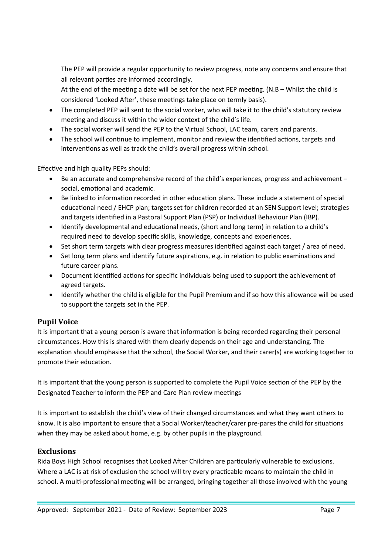The PEP will provide a regular opportunity to review progress, note any concerns and ensure that all relevant parties are informed accordingly.

At the end of the meeting a date will be set for the next PEP meeting. (N.B – Whilst the child is considered 'Looked After', these meetings take place on termly basis).

- The completed PEP will sent to the social worker, who will take it to the child's statutory review meeting and discuss it within the wider context of the child's life.
- The social worker will send the PEP to the Virtual School, LAC team, carers and parents.
- The school will continue to implement, monitor and review the identified actions, targets and interventions as well as track the child's overall progress within school.

Effective and high quality PEPs should:

- Be an accurate and comprehensive record of the child's experiences, progress and achievement social, emotional and academic.
- Be linked to information recorded in other education plans. These include a statement of special educational need / EHCP plan; targets set for children recorded at an SEN Support level; strategies and targets identified in a Pastoral Support Plan (PSP) or Individual Behaviour Plan (IBP).
- Identify developmental and educational needs, (short and long term) in relation to a child's required need to develop specific skills, knowledge, concepts and experiences.
- Set short term targets with clear progress measures identified against each target / area of need.
- Set long term plans and identify future aspirations, e.g. in relation to public examinations and future career plans.
- Document identified actions for specific individuals being used to support the achievement of agreed targets.
- Identify whether the child is eligible for the Pupil Premium and if so how this allowance will be used to support the targets set in the PEP.

# **Pupil Voice**

It is important that a young person is aware that information is being recorded regarding their personal circumstances. How this is shared with them clearly depends on their age and understanding. The explanation should emphasise that the school, the Social Worker, and their carer(s) are working together to promote their education.

It is important that the young person is supported to complete the Pupil Voice section of the PEP by the Designated Teacher to inform the PEP and Care Plan review meetings

It is important to establish the child's view of their changed circumstances and what they want others to know. It is also important to ensure that a Social Worker/teacher/carer pre-pares the child for situations when they may be asked about home, e.g. by other pupils in the playground.

# **Exclusions**

Rida Boys High School recognises that Looked After Children are particularly vulnerable to exclusions. Where a LAC is at risk of exclusion the school will try every practicable means to maintain the child in school. A multi-professional meeting will be arranged, bringing together all those involved with the young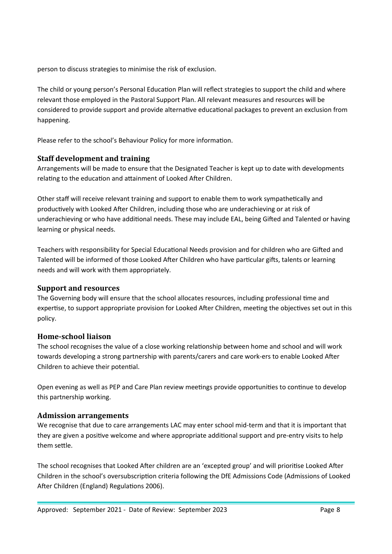person to discuss strategies to minimise the risk of exclusion.

The child or young person's Personal Education Plan will reflect strategies to support the child and where relevant those employed in the Pastoral Support Plan. All relevant measures and resources will be considered to provide support and provide alternative educational packages to prevent an exclusion from happening.

Please refer to the school's Behaviour Policy for more information.

# **Staff development and training**

Arrangements will be made to ensure that the Designated Teacher is kept up to date with developments relating to the education and attainment of Looked After Children.

Other staff will receive relevant training and support to enable them to work sympathetically and productively with Looked After Children, including those who are underachieving or at risk of underachieving or who have additional needs. These may include EAL, being Gifted and Talented or having learning or physical needs.

Teachers with responsibility for Special Educational Needs provision and for children who are Gifted and Talented will be informed of those Looked After Children who have particular gifts, talents or learning needs and will work with them appropriately.

#### **Support and resources**

The Governing body will ensure that the school allocates resources, including professional time and expertise, to support appropriate provision for Looked After Children, meeting the objectives set out in this policy.

#### **Home-school liaison**

The school recognises the value of a close working relationship between home and school and will work towards developing a strong partnership with parents/carers and care work-ers to enable Looked After Children to achieve their potential.

Open evening as well as PEP and Care Plan review meetings provide opportunities to continue to develop this partnership working.

#### **Admission arrangements**

We recognise that due to care arrangements LAC may enter school mid-term and that it is important that they are given a positive welcome and where appropriate additional support and pre-entry visits to help them settle.

The school recognises that Looked After children are an 'excepted group' and will prioritise Looked After Children in the school's oversubscription criteria following the DfE Admissions Code (Admissions of Looked After Children (England) Regulations 2006).